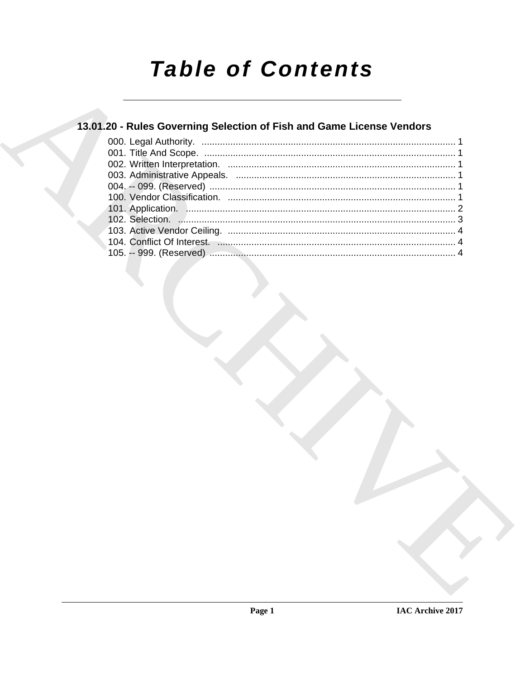# **Table of Contents**

## 13.01.20 - Rules Governing Selection of Fish and Game License Vendors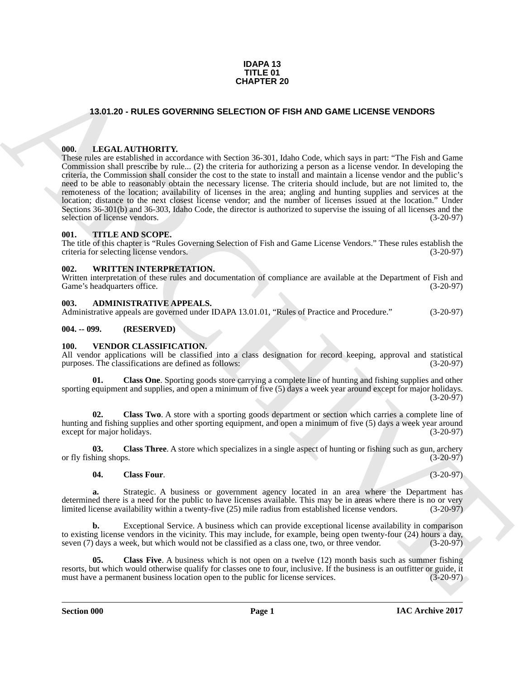#### **IDAPA 13 TITLE 01 CHAPTER 20**

#### <span id="page-1-0"></span>**13.01.20 - RULES GOVERNING SELECTION OF FISH AND GAME LICENSE VENDORS**

#### <span id="page-1-1"></span>**000. LEGAL AUTHORITY.**

**CHAPTER 20**<br> **CHAPTER 30**<br> **CHAPTER 30**<br> **CHAPTER 30**<br> **CHAPTER 30**<br> **CHAPTER 30**<br> **CHAPTER 30**<br> **CHAPTER 30**<br> **CHAPTER 30**<br> **CHAPTER 30**<br> **CHAPTER 30**<br> **CHAPTER 30**<br> **CHAPTER 30**<br> **CHAPTER 30**<br> **CHAPTER 30**<br> **CHAPTER 30** These rules are established in accordance with Section 36-301, Idaho Code, which says in part: "The Fish and Game Commission shall prescribe by rule... (2) the criteria for authorizing a person as a license vendor. In developing the criteria, the Commission shall consider the cost to the state to install and maintain a license vendor and the public's need to be able to reasonably obtain the necessary license. The criteria should include, but are not limited to, the remoteness of the location; availability of licenses in the area; angling and hunting supplies and services at the location; distance to the next closest license vendor; and the number of licenses issued at the location." Under Sections 36-301(b) and 36-303, Idaho Code, the director is authorized to supervise the issuing of all licenses and the selection of license vendors. (3-20-97) selection of license vendors.

#### <span id="page-1-2"></span>**001. TITLE AND SCOPE.**

The title of this chapter is "Rules Governing Selection of Fish and Game License Vendors." These rules establish the criteria for selecting license vendors. (3-20-97)

#### <span id="page-1-3"></span>**002. WRITTEN INTERPRETATION.**

Written interpretation of these rules and documentation of compliance are available at the Department of Fish and Game's headquarters office. (3-20-97)

#### <span id="page-1-4"></span>**003. ADMINISTRATIVE APPEALS.**

Administrative appeals are governed under IDAPA 13.01.01, "Rules of Practice and Procedure." (3-20-97)

#### <span id="page-1-5"></span>**004. -- 099. (RESERVED)**

#### <span id="page-1-7"></span><span id="page-1-6"></span>**100. VENDOR CLASSIFICATION.**

All vendor applications will be classified into a class designation for record keeping, approval and statistical purposes. The classifications are defined as follows: (3-20-97) purposes. The classifications are defined as follows:

**01. Class One**. Sporting goods store carrying a complete line of hunting and fishing supplies and other sporting equipment and supplies, and open a minimum of five (5) days a week year around except for major holidays. (3-20-97)

**02. Class Two**. A store with a sporting goods department or section which carries a complete line of hunting and fishing supplies and other sporting equipment, and open a minimum of five (5) days a week year around except for maior holidays. (3-20-97) except for major holidays.

**03.** Class Three. A store which specializes in a single aspect of hunting or fishing such as gun, archery hing shops. (3-20-97) or fly fishing shops.

#### **04. Class Four**. (3-20-97)

**a.** Strategic. A business or government agency located in an area where the Department has determined there is a need for the public to have licenses available. This may be in areas where there is no or very<br>limited license availability within a twenty-five (25) mile radius from established license vendors. (3-2 limited license availability within a twenty-five  $(25)$  mile radius from established license vendors.

**b.** Exceptional Service. A business which can provide exceptional license availability in comparison to existing license vendors in the vicinity. This may include, for example, being open twenty-four  $(24)$  hours a day, seven  $(7)$  days a week, but which would not be classified as a class one, two, or three vendor.  $(3-2$ seven (7) days a week, but which would not be classified as a class one, two, or three vendor.

**05. Class Five**. A business which is not open on a twelve (12) month basis such as summer fishing resorts, but which would otherwise qualify for classes one to four, inclusive. If the business is an outfitter or guide, it must have a permanent business location open to the public for license services. (3-20-97) must have a permanent business location open to the public for license services.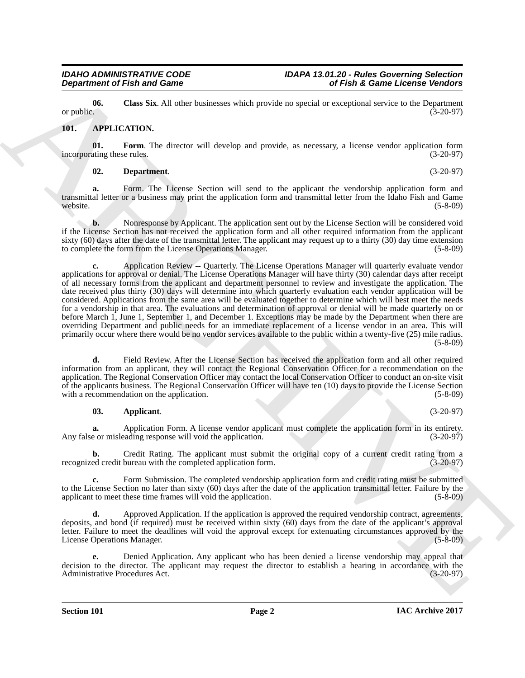**06.** Class Six. All other businesses which provide no special or exceptional service to the Department or public. (3-20-97) or public.  $(3-20-97)$ 

#### <span id="page-2-1"></span><span id="page-2-0"></span>**101. APPLICATION.**

**01.** Form. The director will develop and provide, as necessary, a license vendor application form ating these rules. (3-20-97) incorporating these rules.

#### <span id="page-2-4"></span><span id="page-2-3"></span>**02. Department**. (3-20-97)

**a.** Form. The License Section will send to the applicant the vendorship application form and transmittal letter or a business may print the application form and transmittal letter from the Idaho Fish and Game<br>(5-8-09) website. (5-8-09)

**b.** Nonresponse by Applicant. The application sent out by the License Section will be considered void if the License Section has not received the application form and all other required information from the applicant sixty (60) days after the date of the transmittal letter. The applicant may request up to a thirty (30) day time extension<br>to complete the form from the License Operations Manager. (5-8-09) to complete the form from the License Operations Manager.

**Department of Fish and Game<br>
or public and Game<br>
or public and Control intervention of Fish & Game Licensine Website<br>
or public and Fish and Theoretical Action (i.e., a corresponding service to be Deposite<br>
on the same o c.** Application Review -- Quarterly. The License Operations Manager will quarterly evaluate vendor applications for approval or denial. The License Operations Manager will have thirty (30) calendar days after receipt of all necessary forms from the applicant and department personnel to review and investigate the application. The date received plus thirty (30) days will determine into which quarterly evaluation each vendor application will be considered. Applications from the same area will be evaluated together to determine which will best meet the needs for a vendorship in that area. The evaluations and determination of approval or denial will be made quarterly on or before March 1, June 1, September 1, and December 1. Exceptions may be made by the Department when there are overriding Department and public needs for an immediate replacement of a license vendor in an area. This will primarily occur where there would be no vendor services available to the public within a twenty-five (25) mile radius. (5-8-09)

**d.** Field Review. After the License Section has received the application form and all other required information from an applicant, they will contact the Regional Conservation Officer for a recommendation on the application. The Regional Conservation Officer may contact the local Conservation Officer to conduct an on-site visit of the applicants business. The Regional Conservation Officer will have ten (10) days to provide the License Section with a recommendation on the application. (5-8-09)

#### <span id="page-2-2"></span>**03. Applicant**. (3-20-97)

**a.** Application Form. A license vendor applicant must complete the application form in its entirety.<br>e or misleading response will void the application. (3-20-97) Any false or misleading response will void the application.

**b.** Credit Rating. The applicant must submit the original copy of a current credit rating from a recognized credit bureau with the completed application form. (3-20-97)

**c.** Form Submission. The completed vendorship application form and credit rating must be submitted to the License Section no later than sixty (60) days after the date of the application transmittal letter. Failure by the applicant to meet these time frames will void the application. (5-8-09)

**d.** Approved Application. If the application is approved the required vendorship contract, agreements, deposits, and bond (if required) must be received within sixty (60) days from the date of the applicant's approval letter. Failure to meet the deadlines will void the approval except for extenuating circumstances approved by the License Operations Manager. (5-8-09)

**e.** Denied Application. Any applicant who has been denied a license vendorship may appeal that decision to the director. The applicant may request the director to establish a hearing in accordance with the<br>Administrative Procedures Act. (3-20-97) Administrative Procedures Act.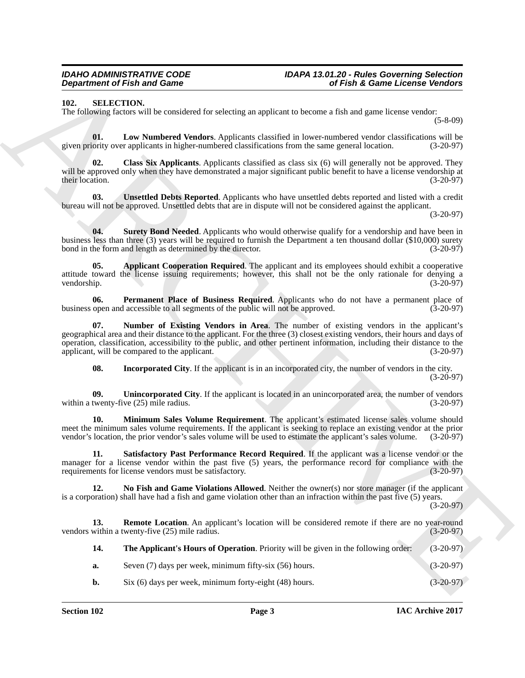<span id="page-3-1"></span><span id="page-3-0"></span>**102. SELECTION.**

The following factors will be considered for selecting an applicant to become a fish and game license vendor:

(5-8-09)

<span id="page-3-5"></span>**01. Low Numbered Vendors**. Applicants classified in lower-numbered vendor classifications will be given priority over applicants in higher-numbered classifications from the same general location. (3-20-97)

<span id="page-3-3"></span>**02. Class Six Applicants**. Applicants classified as class six (6) will generally not be approved. They will be approved only when they have demonstrated a major significant public benefit to have a license vendorship at their location. (3-20-97)

<span id="page-3-15"></span>**03. Unsettled Debts Reported**. Applicants who have unsettled debts reported and listed with a credit bureau will not be approved. Unsettled debts that are in dispute will not be considered against the applicant.

(3-20-97)

<span id="page-3-12"></span>**04.** Surety Bond Needed. Applicants who would otherwise qualify for a vendorship and have been in business less than three (3) years will be required to furnish the Department a ten thousand dollar (\$10,000) surety bond in the form and length as determined by the director. (3-20-97) bond in the form and length as determined by the director.

<span id="page-3-2"></span>**05. Applicant Cooperation Required**. The applicant and its employees should exhibit a cooperative attitude toward the license issuing requirements; however, this shall not be the only rationale for denying a vendorship. (3-20-97)

<span id="page-3-9"></span>**06. Permanent Place of Business Required**. Applicants who do not have a permanent place of open and accessible to all segments of the public will not be approved. (3-20-97) business open and accessible to all segments of the public will not be approved.

**07. Number of Existing Vendors in Area**. The number of existing vendors in the applicant's geographical area and their distance to the applicant. For the three (3) closest existing vendors, their hours and days of operation, classification, accessibility to the public, and other pertinent information, including their distance to the applicant, will be compared to the applicant.

<span id="page-3-14"></span><span id="page-3-8"></span><span id="page-3-6"></span><span id="page-3-4"></span>**08.** Incorporated City. If the applicant is in an incorporated city, the number of vendors in the city. (3-20-97)

**09.** Unincorporated City. If the applicant is located in an unincorporated area, the number of vendors twenty-five (25) mile radius. (3-20-97) within a twenty-five  $(25)$  mile radius.

**10. Minimum Sales Volume Requirement**. The applicant's estimated license sales volume should meet the minimum sales volume requirements. If the applicant is seeking to replace an existing vendor at the prior vendor's sales volume will be used to estimate the applicant's sales volume. (3-20-97) vendor's location, the prior vendor's sales volume will be used to estimate the applicant's sales volume.

<span id="page-3-11"></span>**11. Satisfactory Past Performance Record Required**. If the applicant was a license vendor or the manager for a license vendor within the past five (5) years, the performance record for compliance with the requirements for license vendors must be satisfactory. (3-20-97) requirements for license vendors must be satisfactory.

<span id="page-3-7"></span>**12. No Fish and Game Violations Allowed**. Neither the owner(s) nor store manager (if the applicant is a corporation) shall have had a fish and game violation other than an infraction within the past five (5) years.

(3-20-97)

<span id="page-3-13"></span><span id="page-3-10"></span>**13. Remote Location**. An applicant's location will be considered remote if there are no year-round within a twenty-five (25) mile radius. (3-20-97) vendors within a twenty-five  $(25)$  mile radius.

**Experimental Finite and Experiment** Constraint the spin and the problem in the spin and solution of the spin and the spin and the spin and the spin and the spin and the spin and the spin and the spin and the spin and the **14. The Applicant's Hours of Operation**. Priority will be given in the following order: (3-20-97) **a.** Seven (7) days per week, minimum fifty-six (56) hours. (3-20-97) **b.** Six (6) days per week, minimum forty-eight (48) hours. (3-20-97)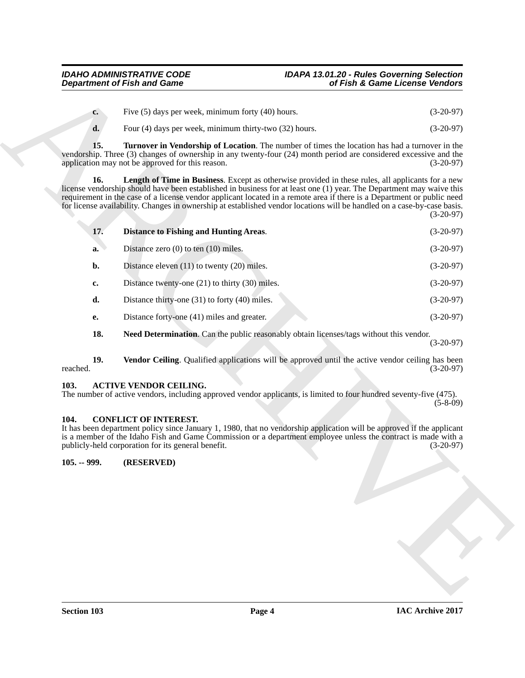<span id="page-4-8"></span><span id="page-4-6"></span><span id="page-4-5"></span>

| $c_{\cdot}$ | Five $(5)$ days per week, minimum forty $(40)$ hours.      | $(3-20-97)$ |
|-------------|------------------------------------------------------------|-------------|
| d.          | Four $(4)$ days per week, minimum thirty-two $(32)$ hours. | $(3-20-97)$ |

| <b>Department of Fish and Game</b> |                                                                                                                                                                                                                                                                                                                                                                                                                                                                                       | of Fish & Game License Vendors |             |
|------------------------------------|---------------------------------------------------------------------------------------------------------------------------------------------------------------------------------------------------------------------------------------------------------------------------------------------------------------------------------------------------------------------------------------------------------------------------------------------------------------------------------------|--------------------------------|-------------|
| $c_{\cdot}$                        | Five (5) days per week, minimum forty (40) hours.                                                                                                                                                                                                                                                                                                                                                                                                                                     |                                | $(3-20-97)$ |
| d.                                 | Four (4) days per week, minimum thirty-two (32) hours.                                                                                                                                                                                                                                                                                                                                                                                                                                |                                | $(3-20-97)$ |
| 15.                                | <b>Turnover in Vendorship of Location.</b> The number of times the location has had a turnover in the<br>vendorship. Three (3) changes of ownership in any twenty-four (24) month period are considered excessive and the<br>application may not be approved for this reason.                                                                                                                                                                                                         |                                | $(3-20-97)$ |
| 16.                                | <b>Length of Time in Business.</b> Except as otherwise provided in these rules, all applicants for a new<br>license vendorship should have been established in business for at least one (1) year. The Department may waive this<br>requirement in the case of a license vendor applicant located in a remote area if there is a Department or public need<br>for license availability. Changes in ownership at established vendor locations will be handled on a case-by-case basis. |                                | $(3-20-97)$ |
| 17.                                | <b>Distance to Fishing and Hunting Areas.</b>                                                                                                                                                                                                                                                                                                                                                                                                                                         |                                | $(3-20-97)$ |
| a.                                 | Distance zero $(0)$ to ten $(10)$ miles.                                                                                                                                                                                                                                                                                                                                                                                                                                              |                                | $(3-20-97)$ |
| b.                                 | Distance eleven $(11)$ to twenty $(20)$ miles.                                                                                                                                                                                                                                                                                                                                                                                                                                        |                                | $(3-20-97)$ |
| c.                                 | Distance twenty-one $(21)$ to thirty $(30)$ miles.                                                                                                                                                                                                                                                                                                                                                                                                                                    |                                | $(3-20-97)$ |
| d.                                 | Distance thirty-one $(31)$ to forty $(40)$ miles.                                                                                                                                                                                                                                                                                                                                                                                                                                     |                                | $(3-20-97)$ |
| е.                                 | Distance forty-one (41) miles and greater.                                                                                                                                                                                                                                                                                                                                                                                                                                            |                                | $(3-20-97)$ |
| 18.                                | Need Determination. Can the public reasonably obtain licenses/tags without this vendor.                                                                                                                                                                                                                                                                                                                                                                                               |                                | $(3-20-97)$ |
| 19.<br>reached.                    | Vendor Ceiling. Qualified applications will be approved until the active vendor ceiling has been                                                                                                                                                                                                                                                                                                                                                                                      |                                | $(3-20-97)$ |
| 103.                               | <b>ACTIVE VENDOR CEILING.</b><br>The number of active vendors, including approved vendor applicants, is limited to four hundred seventy-five (475).                                                                                                                                                                                                                                                                                                                                   |                                | $(5-8-09)$  |
| 104.                               | <b>CONFLICT OF INTEREST.</b><br>It has been department policy since January 1, 1980, that no vendorship application will be approved if the applicant<br>is a member of the Idaho Fish and Game Commission or a department employee unless the contract is made with a<br>publicly-held corporation for its general benefit.                                                                                                                                                          |                                | $(3-20-97)$ |
| $105. - 999.$                      | (RESERVED)                                                                                                                                                                                                                                                                                                                                                                                                                                                                            |                                |             |
|                                    |                                                                                                                                                                                                                                                                                                                                                                                                                                                                                       |                                |             |
|                                    |                                                                                                                                                                                                                                                                                                                                                                                                                                                                                       |                                |             |
|                                    |                                                                                                                                                                                                                                                                                                                                                                                                                                                                                       |                                |             |
|                                    |                                                                                                                                                                                                                                                                                                                                                                                                                                                                                       |                                |             |
|                                    |                                                                                                                                                                                                                                                                                                                                                                                                                                                                                       |                                |             |
|                                    |                                                                                                                                                                                                                                                                                                                                                                                                                                                                                       |                                |             |
|                                    |                                                                                                                                                                                                                                                                                                                                                                                                                                                                                       |                                |             |
|                                    |                                                                                                                                                                                                                                                                                                                                                                                                                                                                                       |                                |             |

#### <span id="page-4-9"></span><span id="page-4-7"></span><span id="page-4-3"></span><span id="page-4-0"></span>**103. ACTIVE VENDOR CEILING.**

#### <span id="page-4-4"></span><span id="page-4-2"></span><span id="page-4-1"></span>**104. CONFLICT OF INTEREST.**